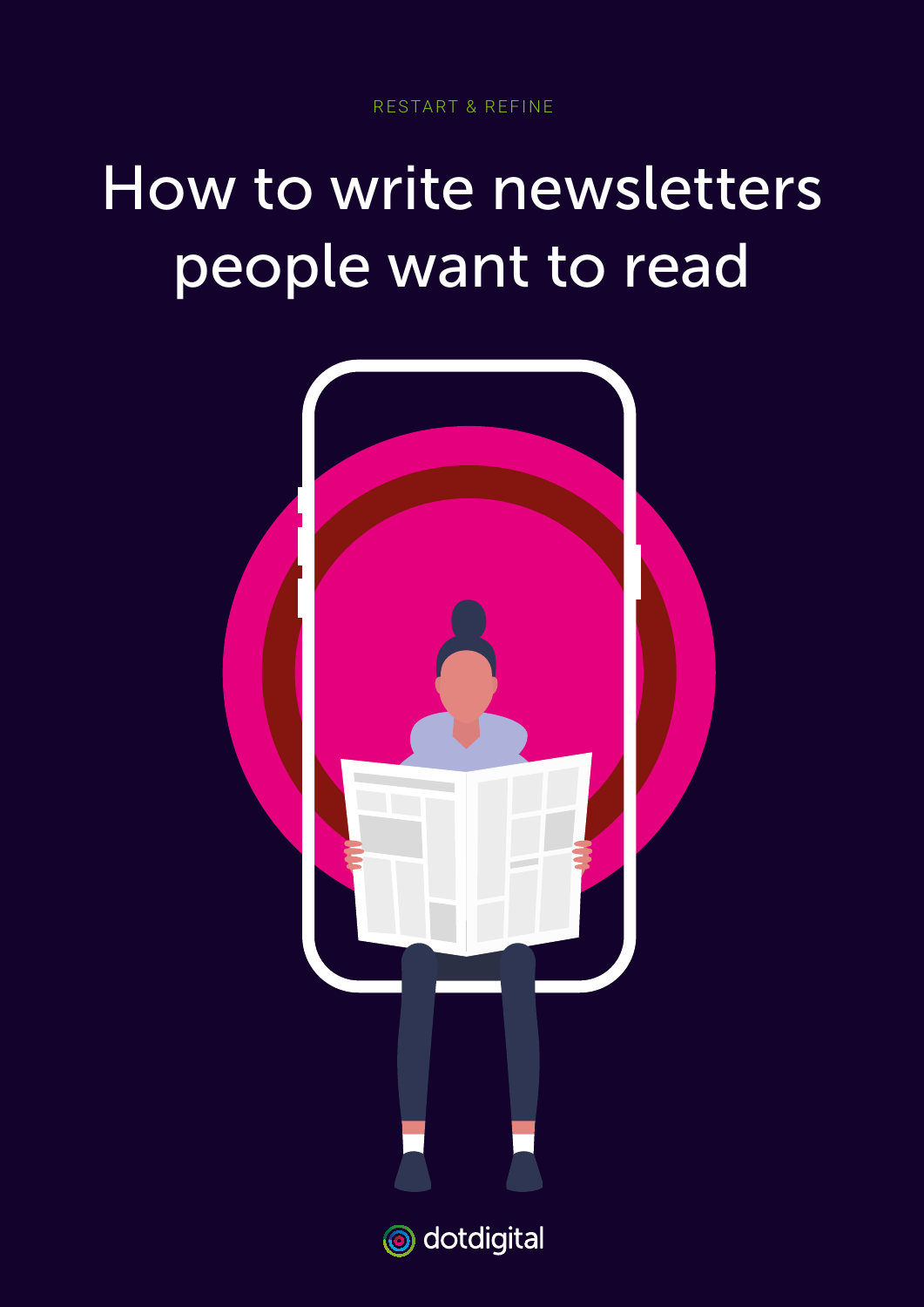# How to write newsletters people want to read

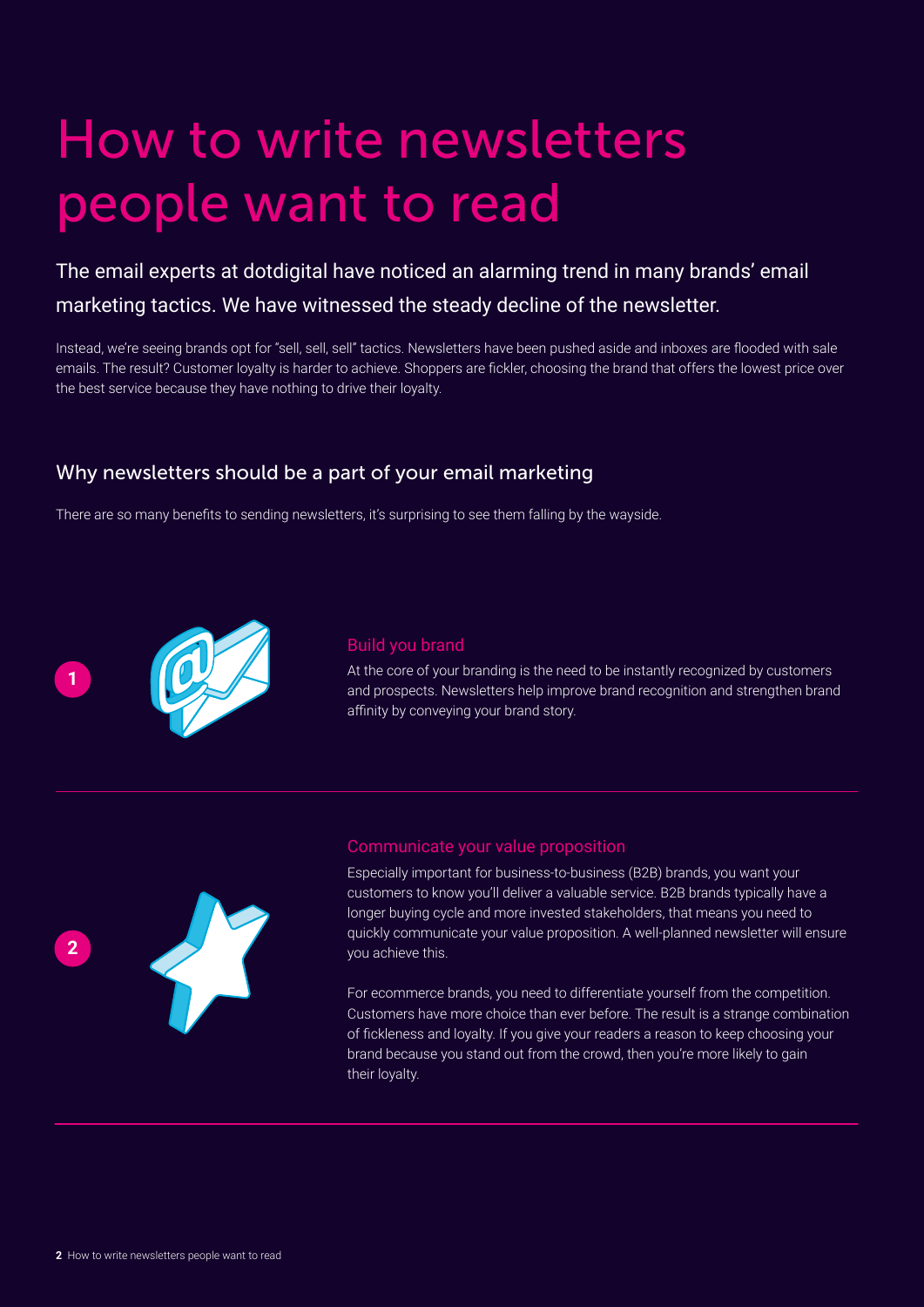# How to write newsletters people want to read

The email experts at dotdigital have noticed an alarming trend in many brands' email marketing tactics. We have witnessed the steady decline of the newsletter.

Instead, we're seeing brands opt for "sell, sell, sell" tactics. Newsletters have been pushed aside and inboxes are flooded with sale emails. The result? Customer loyalty is harder to achieve. Shoppers are fickler, choosing the brand that offers the lowest price over the best service because they have nothing to drive their loyalty.

### Why newsletters should be a part of your email marketing

There are so many benefits to sending newsletters, it's surprising to see them falling by the wayside.



#### Build you brand

At the core of your branding is the need to be instantly recognized by customers and prospects. Newsletters help improve brand recognition and strengthen brand affinity by conveying your brand story.



#### Communicate your value proposition

Especially important for business-to-business (B2B) brands, you want your customers to know you'll deliver a valuable service. B2B brands typically have a longer buying cycle and more invested stakeholders, that means you need to quickly communicate your value proposition. A well-planned newsletter will ensure you achieve this.

For ecommerce brands, you need to differentiate yourself from the competition. Customers have more choice than ever before. The result is a strange combination of fickleness and loyalty. If you give your readers a reason to keep choosing your brand because you stand out from the crowd, then you're more likely to gain their loyalty.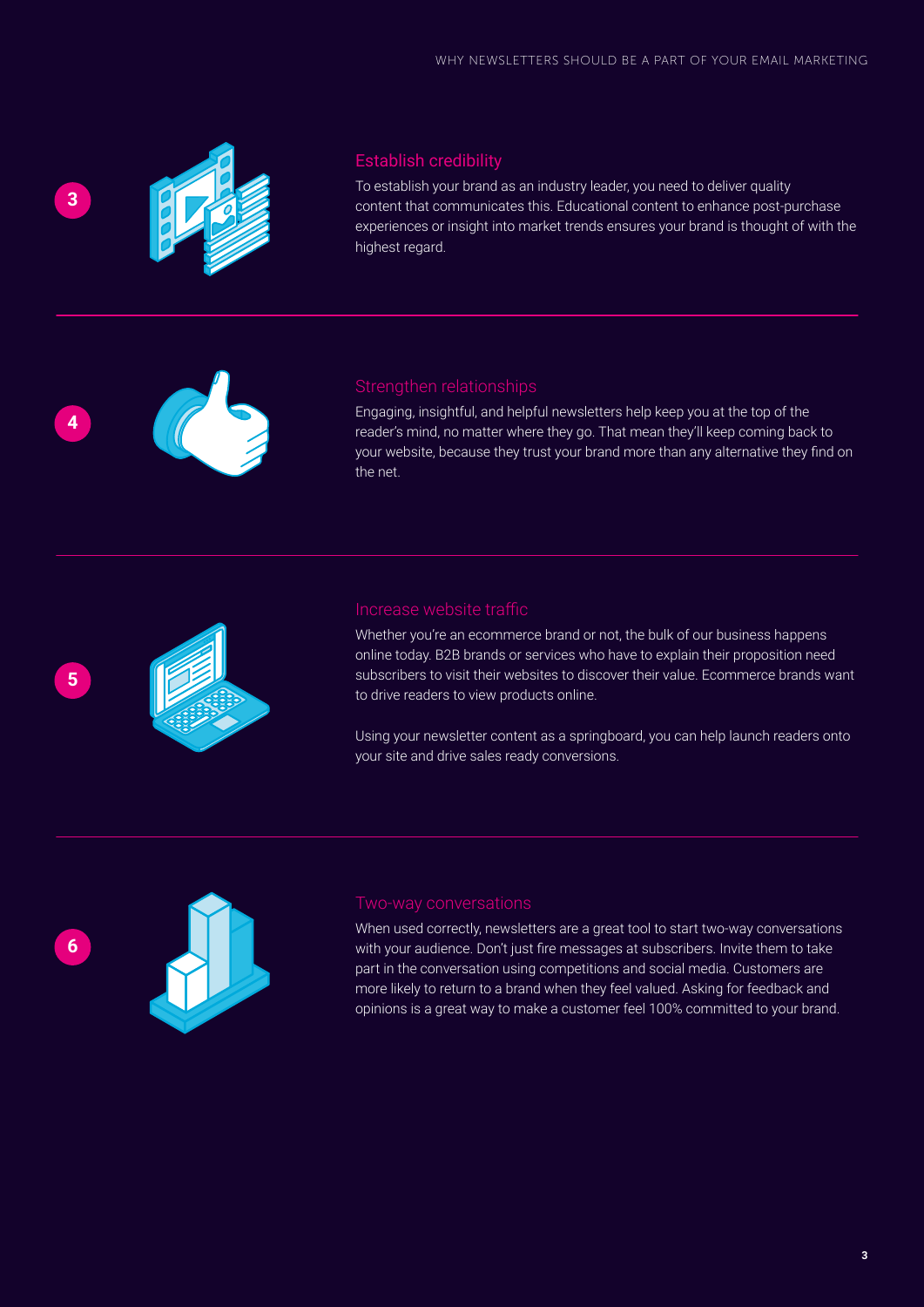

**4**

**5**

### Establish credibility

To establish your brand as an industry leader, you need to deliver quality content that communicates this. Educational content to enhance post-purchase experiences or insight into market trends ensures your brand is thought of with the highest regard.

#### Strengthen relationships

Engaging, insightful, and helpful newsletters help keep you at the top of the reader's mind, no matter where they go. That mean they'll keep coming back to your website, because they trust your brand more than any alternative they find on the net.

### Increase website traffic

Whether you're an ecommerce brand or not, the bulk of our business happens online today. B2B brands or services who have to explain their proposition need subscribers to visit their websites to discover their value. Ecommerce brands want to drive readers to view products online.

Using your newsletter content as a springboard, you can help launch readers onto your site and drive sales ready conversions.



When used correctly, newsletters are a great tool to start two-way conversations with your audience. Don't just fire messages at subscribers. Invite them to take part in the conversation using competitions and social media. Customers are more likely to return to a brand when they feel valued. Asking for feedback and opinions is a great way to make a customer feel 100% committed to your brand.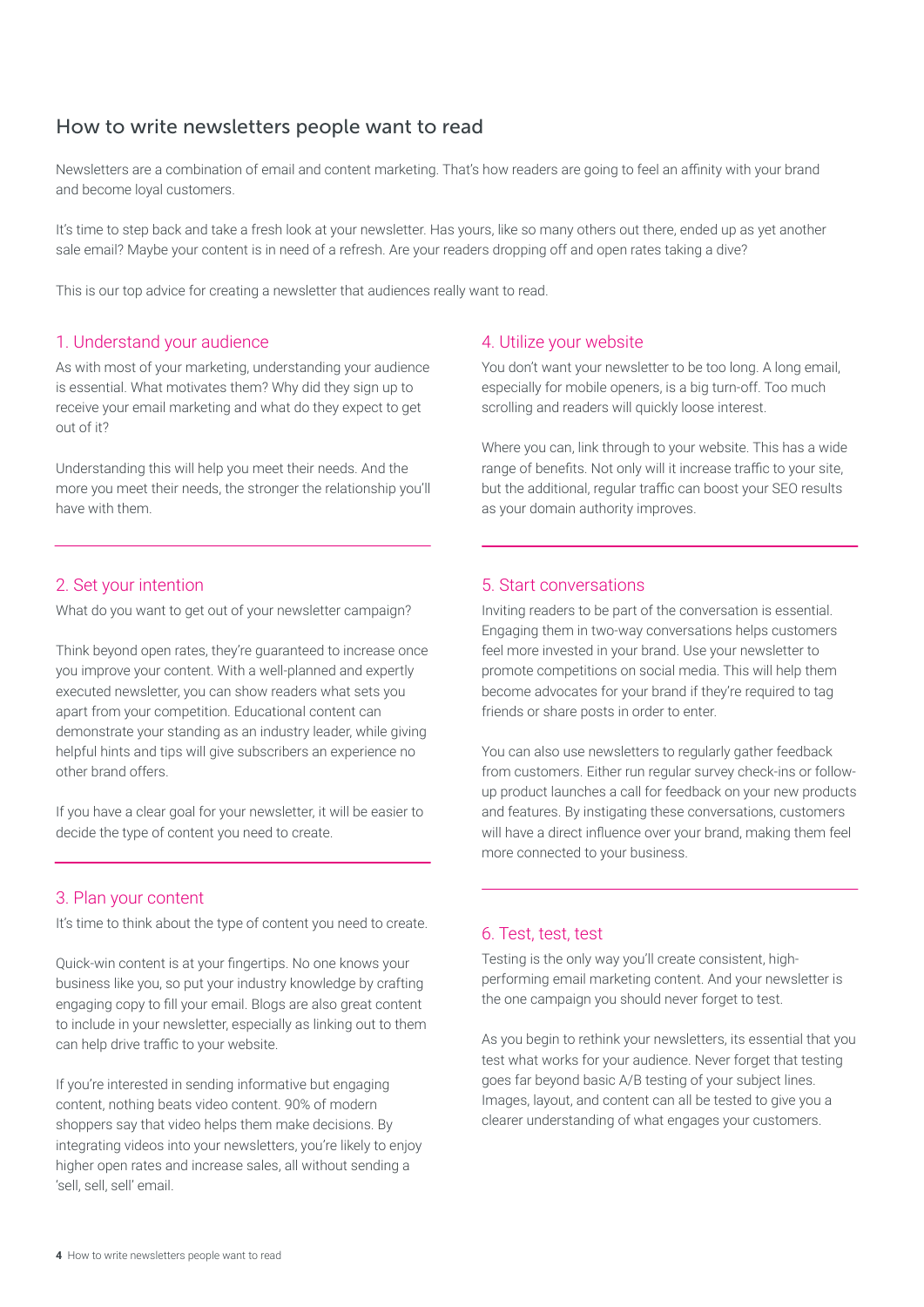### How to write newsletters people want to read

Newsletters are a combination of email and content marketing. That's how readers are going to feel an affinity with your brand and become loyal customers.

It's time to step back and take a fresh look at your newsletter. Has yours, like so many others out there, ended up as yet another sale email? Maybe your content is in need of a refresh. Are your readers dropping off and open rates taking a dive?

This is our top advice for creating a newsletter that audiences really want to read.

#### 1. Understand your audience

As with most of your marketing, understanding your audience is essential. What motivates them? Why did they sign up to receive your email marketing and what do they expect to get out of it?

Understanding this will help you meet their needs. And the more you meet their needs, the stronger the relationship you'll have with them.

#### 2. Set your intention

What do you want to get out of your newsletter campaign?

Think beyond open rates, they're guaranteed to increase once you improve your content. With a well-planned and expertly executed newsletter, you can show readers what sets you apart from your competition. Educational content can demonstrate your standing as an industry leader, while giving helpful hints and tips will give subscribers an experience no other brand offers.

If you have a clear goal for your newsletter, it will be easier to decide the type of content you need to create.

#### 3. Plan your content

It's time to think about the type of content you need to create.

Quick-win content is at your fingertips. No one knows your business like you, so put your industry knowledge by crafting engaging copy to fill your email. Blogs are also great content to include in your newsletter, especially as linking out to them can help drive traffic to your website.

If you're interested in sending informative but engaging content, nothing beats video content. 90% of modern shoppers say that video helps them make decisions. By integrating videos into your newsletters, you're likely to enjoy higher open rates and increase sales, all without sending a 'sell, sell, sell' email.

#### 4. Utilize your website

You don't want your newsletter to be too long. A long email, especially for mobile openers, is a big turn-off. Too much scrolling and readers will quickly loose interest.

Where you can, link through to your website. This has a wide range of benefits. Not only will it increase traffic to your site, but the additional, regular traffic can boost your SEO results as your domain authority improves.

#### 5. Start conversations

Inviting readers to be part of the conversation is essential. Engaging them in two-way conversations helps customers feel more invested in your brand. Use your newsletter to promote competitions on social media. This will help them become advocates for your brand if they're required to tag friends or share posts in order to enter.

You can also use newsletters to regularly gather feedback from customers. Either run regular survey check-ins or followup product launches a call for feedback on your new products and features. By instigating these conversations, customers will have a direct influence over your brand, making them feel more connected to your business.

#### 6. Test, test, test

Testing is the only way you'll create consistent, highperforming email marketing content. And your newsletter is the one campaign you should never forget to test.

As you begin to rethink your newsletters, its essential that you test what works for your audience. Never forget that testing goes far beyond basic A/B testing of your subject lines. Images, layout, and content can all be tested to give you a clearer understanding of what engages your customers.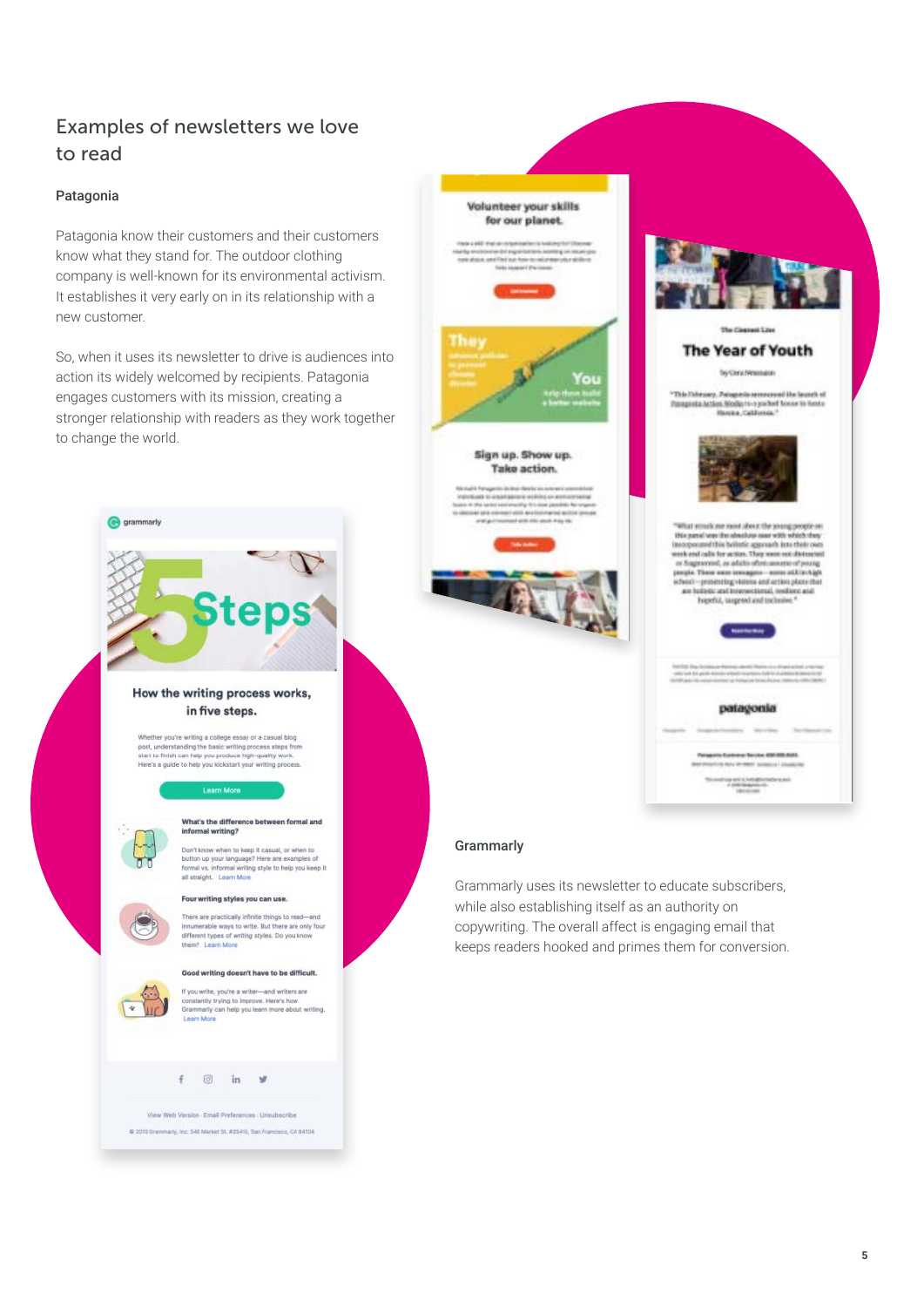# Examples of newsletters we love to read

#### Patagonia

Patagonia know their customers and their customers know what they stand for. The outdoor clothing company is well-known for its environmental activism. It establishes it very early on in its relationship with a new customer.

So, when it uses its newsletter to drive is audiences into action its widely welcomed by recipients. Patagonia engages customers with its mission, creating a stronger relationship with readers as they work together to change the world.





Grammarly uses its newsletter to educate subscribers, while also establishing itself as an authority on copywriting. The overall affect is engaging email that keeps readers hooked and primes them for conversion.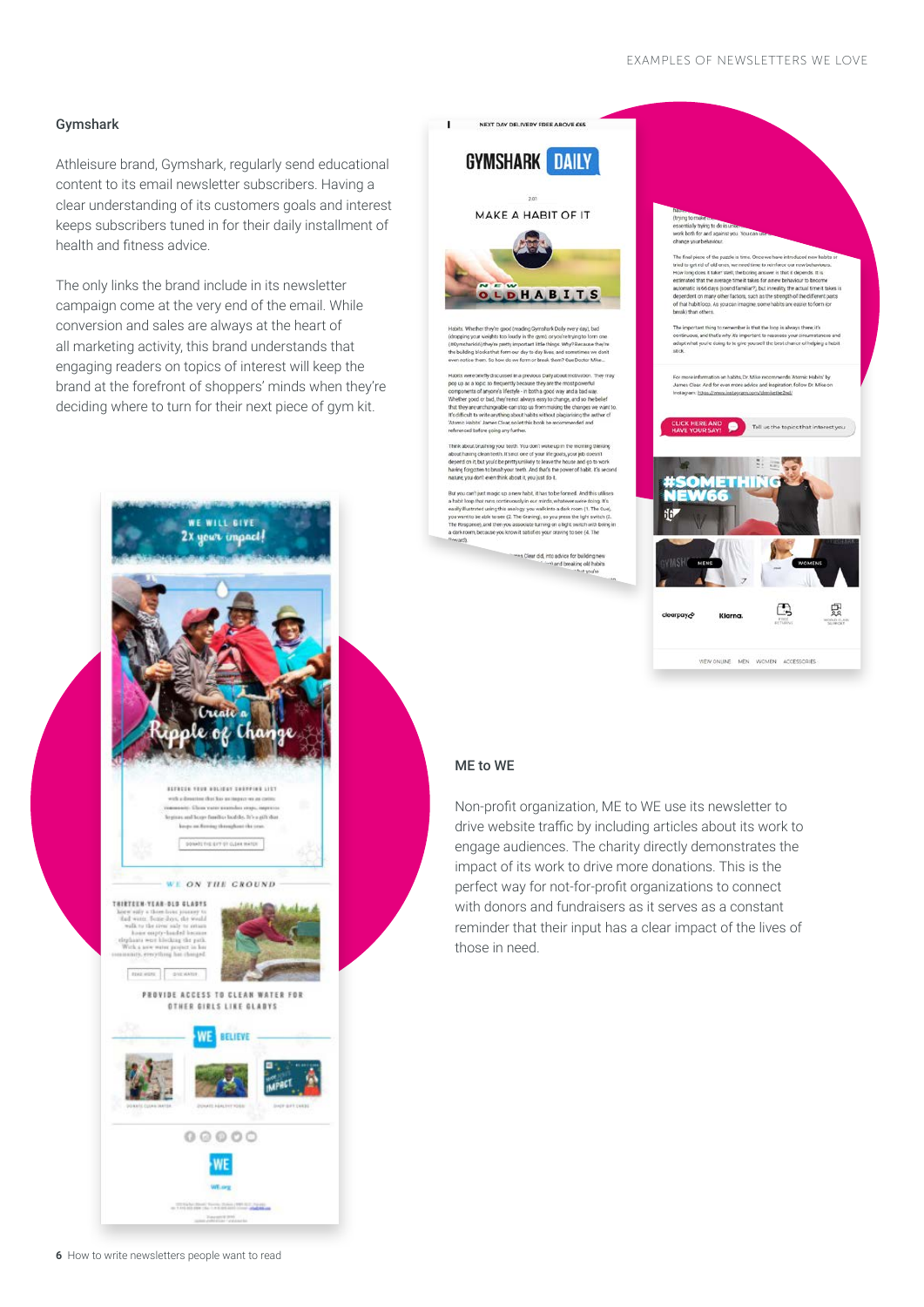#### Gymshark

Athleisure brand, Gymshark, regularly send educational content to its email newsletter subscribers. Having a clear understanding of its customers goals and interest keeps subscribers tuned in for their daily installment of health and fitness advice.

The only links the brand include in its newsletter campaign come at the very end of the email. While conversion and sales are always at the heart of all marketing activity, this brand understands that engaging readers on topics of interest will keep the brand at the forefront of shoppers' minds when they're deciding where to turn for their next piece of gym kit.





#### ME to WE

Non-profit organization, ME to WE use its newsletter to drive website traffic by including articles about its work to engage audiences. The charity directly demonstrates the impact of its work to drive more donations. This is the perfect way for not-for-profit organizations to connect with donors and fundraisers as it serves as a constant reminder that their input has a clear impact of the lives of those in need.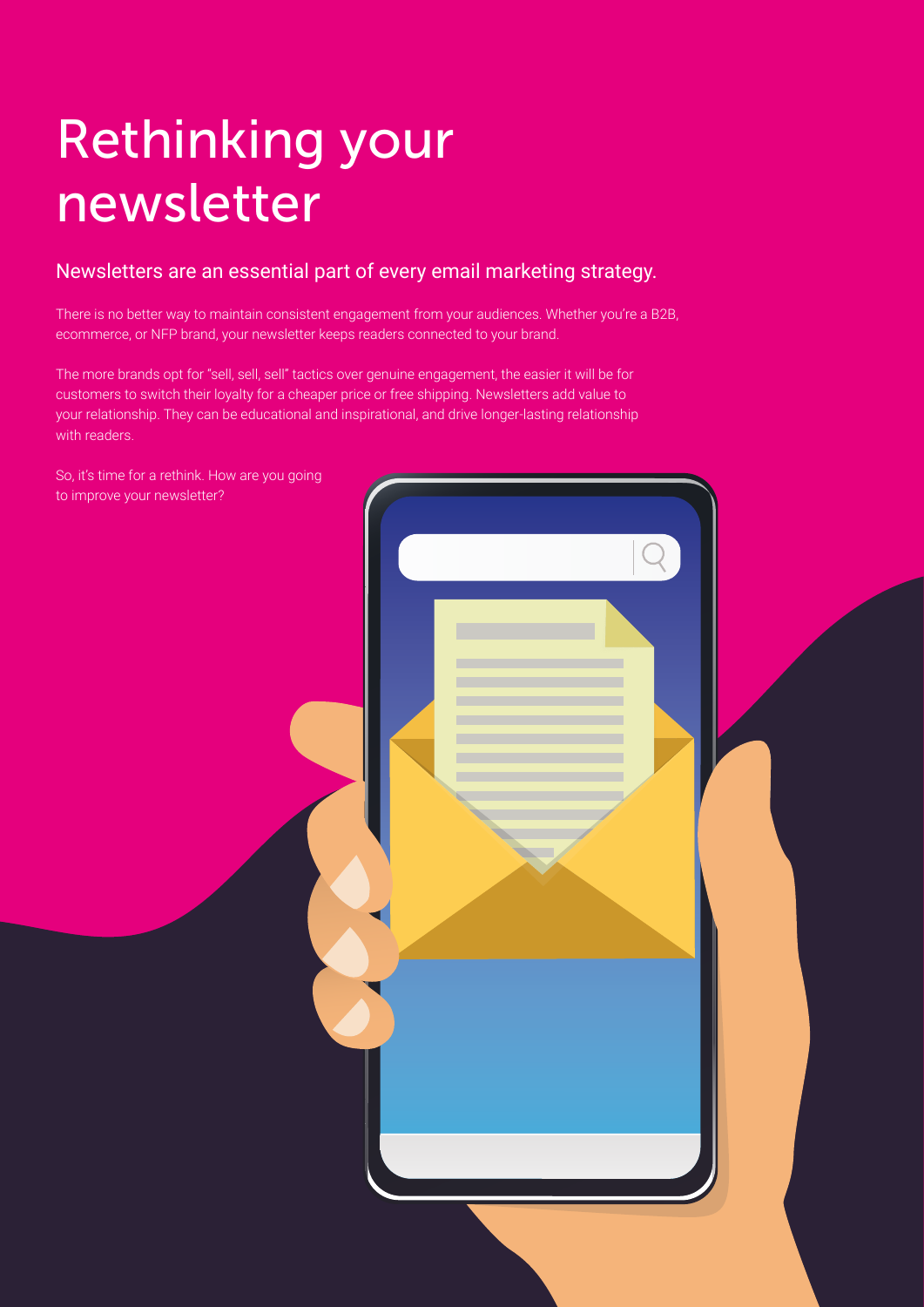# Rethinking your newsletter

## Newsletters are an essential part of every email marketing strategy.

There is no better way to maintain consistent engagement from your audiences. Whether you're a B2B, ecommerce, or NFP brand, your newsletter keeps readers connected to your brand.

The more brands opt for "sell, sell, sell" tactics over genuine engagement, the easier it will be for customers to switch their loyalty for a cheaper price or free shipping. Newsletters add value to your relationship. They can be educational and inspirational, and drive longer-lasting relationship with readers.

So, it's time for a rethink. How are you going